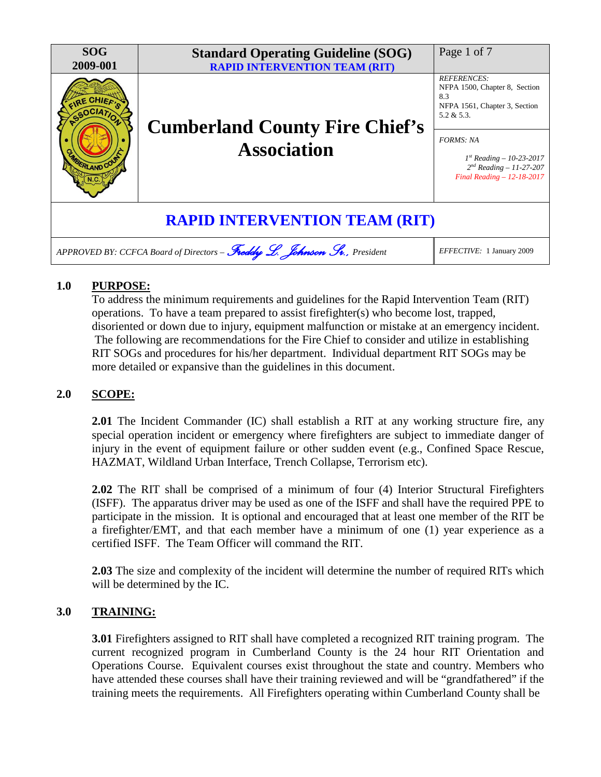

# **1.0 PURPOSE:**

To address the minimum requirements and guidelines for the Rapid Intervention Team (RIT) operations. To have a team prepared to assist firefighter(s) who become lost, trapped, disoriented or down due to injury, equipment malfunction or mistake at an emergency incident. The following are recommendations for the Fire Chief to consider and utilize in establishing RIT SOGs and procedures for his/her department. Individual department RIT SOGs may be more detailed or expansive than the guidelines in this document.

## **2.0 SCOPE:**

**2.01** The Incident Commander (IC) shall establish a RIT at any working structure fire, any special operation incident or emergency where firefighters are subject to immediate danger of injury in the event of equipment failure or other sudden event (e.g., Confined Space Rescue, HAZMAT, Wildland Urban Interface, Trench Collapse, Terrorism etc).

**2.02** The RIT shall be comprised of a minimum of four (4) Interior Structural Firefighters (ISFF). The apparatus driver may be used as one of the ISFF and shall have the required PPE to participate in the mission. It is optional and encouraged that at least one member of the RIT be a firefighter/EMT, and that each member have a minimum of one (1) year experience as a certified ISFF. The Team Officer will command the RIT.

**2.03** The size and complexity of the incident will determine the number of required RITs which will be determined by the IC.

## **3.0 TRAINING:**

**3.01** Firefighters assigned to RIT shall have completed a recognized RIT training program. The current recognized program in Cumberland County is the 24 hour RIT Orientation and Operations Course. Equivalent courses exist throughout the state and country. Members who have attended these courses shall have their training reviewed and will be "grandfathered" if the training meets the requirements. All Firefighters operating within Cumberland County shall be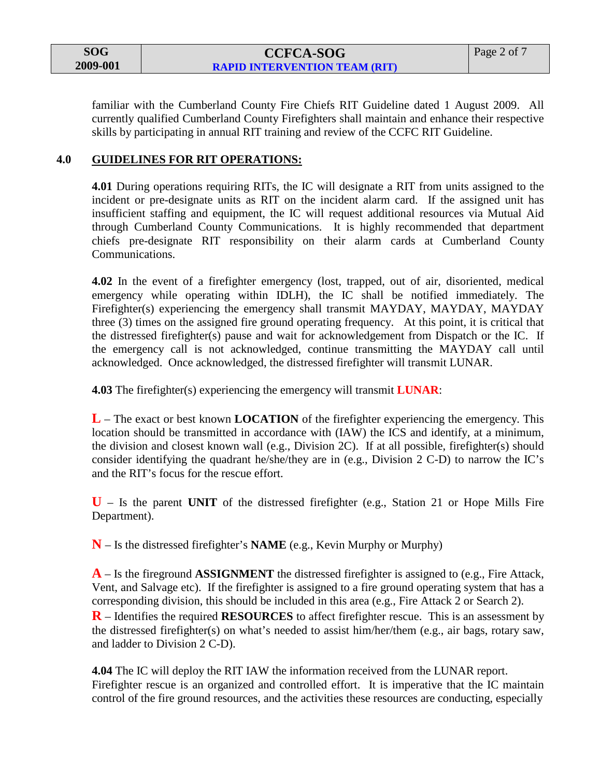| SOG      |
|----------|
| 2009-001 |

familiar with the Cumberland County Fire Chiefs RIT Guideline dated 1 August 2009. All currently qualified Cumberland County Firefighters shall maintain and enhance their respective skills by participating in annual RIT training and review of the CCFC RIT Guideline.

#### **4.0 GUIDELINES FOR RIT OPERATIONS:**

**4.01** During operations requiring RITs, the IC will designate a RIT from units assigned to the incident or pre-designate units as RIT on the incident alarm card. If the assigned unit has insufficient staffing and equipment, the IC will request additional resources via Mutual Aid through Cumberland County Communications. It is highly recommended that department chiefs pre-designate RIT responsibility on their alarm cards at Cumberland County Communications.

**4.02** In the event of a firefighter emergency (lost, trapped, out of air, disoriented, medical emergency while operating within IDLH), the IC shall be notified immediately. The Firefighter(s) experiencing the emergency shall transmit MAYDAY, MAYDAY, MAYDAY three (3) times on the assigned fire ground operating frequency. At this point, it is critical that the distressed firefighter(s) pause and wait for acknowledgement from Dispatch or the IC. If the emergency call is not acknowledged, continue transmitting the MAYDAY call until acknowledged. Once acknowledged, the distressed firefighter will transmit LUNAR.

**4.03** The firefighter(s) experiencing the emergency will transmit **LUNAR**:

**L** – The exact or best known **LOCATION** of the firefighter experiencing the emergency. This location should be transmitted in accordance with (IAW) the ICS and identify, at a minimum, the division and closest known wall (e.g., Division 2C). If at all possible, firefighter(s) should consider identifying the quadrant he/she/they are in (e.g., Division 2 C-D) to narrow the IC's and the RIT's focus for the rescue effort.

**U** – Is the parent **UNIT** of the distressed firefighter (e.g., Station 21 or Hope Mills Fire Department).

**N** – Is the distressed firefighter's **NAME** (e.g., Kevin Murphy or Murphy)

**A** – Is the fireground **ASSIGNMENT** the distressed firefighter is assigned to (e.g., Fire Attack, Vent, and Salvage etc). If the firefighter is assigned to a fire ground operating system that has a corresponding division, this should be included in this area (e.g., Fire Attack 2 or Search 2).

**R** – Identifies the required **RESOURCES** to affect firefighter rescue. This is an assessment by the distressed firefighter(s) on what's needed to assist him/her/them (e.g., air bags, rotary saw, and ladder to Division 2 C-D).

**4.04** The IC will deploy the RIT IAW the information received from the LUNAR report. Firefighter rescue is an organized and controlled effort. It is imperative that the IC maintain control of the fire ground resources, and the activities these resources are conducting, especially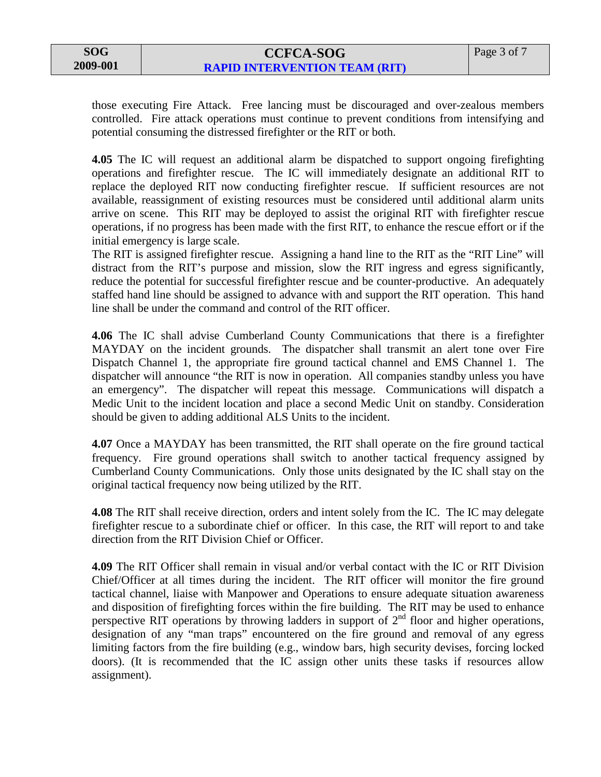# **CCFCA-SOG RAPID INTERVENTION TEAM (RIT)**

those executing Fire Attack. Free lancing must be discouraged and over-zealous members controlled. Fire attack operations must continue to prevent conditions from intensifying and potential consuming the distressed firefighter or the RIT or both.

**4.05** The IC will request an additional alarm be dispatched to support ongoing firefighting operations and firefighter rescue. The IC will immediately designate an additional RIT to replace the deployed RIT now conducting firefighter rescue. If sufficient resources are not available, reassignment of existing resources must be considered until additional alarm units arrive on scene. This RIT may be deployed to assist the original RIT with firefighter rescue operations, if no progress has been made with the first RIT, to enhance the rescue effort or if the initial emergency is large scale.

The RIT is assigned firefighter rescue. Assigning a hand line to the RIT as the "RIT Line" will distract from the RIT's purpose and mission, slow the RIT ingress and egress significantly, reduce the potential for successful firefighter rescue and be counter-productive. An adequately staffed hand line should be assigned to advance with and support the RIT operation. This hand line shall be under the command and control of the RIT officer.

**4.06** The IC shall advise Cumberland County Communications that there is a firefighter MAYDAY on the incident grounds. The dispatcher shall transmit an alert tone over Fire Dispatch Channel 1, the appropriate fire ground tactical channel and EMS Channel 1. The dispatcher will announce "the RIT is now in operation. All companies standby unless you have an emergency". The dispatcher will repeat this message. Communications will dispatch a Medic Unit to the incident location and place a second Medic Unit on standby. Consideration should be given to adding additional ALS Units to the incident.

**4.07** Once a MAYDAY has been transmitted, the RIT shall operate on the fire ground tactical frequency. Fire ground operations shall switch to another tactical frequency assigned by Cumberland County Communications. Only those units designated by the IC shall stay on the original tactical frequency now being utilized by the RIT.

**4.08** The RIT shall receive direction, orders and intent solely from the IC. The IC may delegate firefighter rescue to a subordinate chief or officer. In this case, the RIT will report to and take direction from the RIT Division Chief or Officer.

**4.09** The RIT Officer shall remain in visual and/or verbal contact with the IC or RIT Division Chief/Officer at all times during the incident. The RIT officer will monitor the fire ground tactical channel, liaise with Manpower and Operations to ensure adequate situation awareness and disposition of firefighting forces within the fire building. The RIT may be used to enhance perspective RIT operations by throwing ladders in support of 2<sup>nd</sup> floor and higher operations, designation of any "man traps" encountered on the fire ground and removal of any egress limiting factors from the fire building (e.g., window bars, high security devises, forcing locked doors). (It is recommended that the IC assign other units these tasks if resources allow assignment).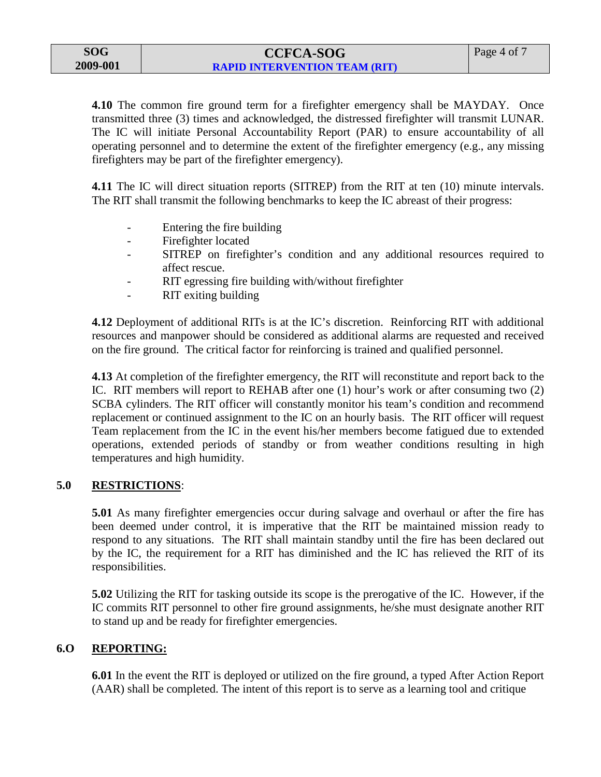| SOG      |
|----------|
| 2009-001 |

**4.10** The common fire ground term for a firefighter emergency shall be MAYDAY. Once transmitted three (3) times and acknowledged, the distressed firefighter will transmit LUNAR. The IC will initiate Personal Accountability Report (PAR) to ensure accountability of all operating personnel and to determine the extent of the firefighter emergency (e.g., any missing firefighters may be part of the firefighter emergency).

**4.11** The IC will direct situation reports (SITREP) from the RIT at ten (10) minute intervals. The RIT shall transmit the following benchmarks to keep the IC abreast of their progress:

- Entering the fire building
- Firefighter located
- SITREP on firefighter's condition and any additional resources required to affect rescue.
- RIT egressing fire building with/without firefighter
- RIT exiting building

**4.12** Deployment of additional RITs is at the IC's discretion. Reinforcing RIT with additional resources and manpower should be considered as additional alarms are requested and received on the fire ground. The critical factor for reinforcing is trained and qualified personnel.

**4.13** At completion of the firefighter emergency, the RIT will reconstitute and report back to the IC. RIT members will report to REHAB after one (1) hour's work or after consuming two (2) SCBA cylinders. The RIT officer will constantly monitor his team's condition and recommend replacement or continued assignment to the IC on an hourly basis. The RIT officer will request Team replacement from the IC in the event his/her members become fatigued due to extended operations, extended periods of standby or from weather conditions resulting in high temperatures and high humidity.

### **5.0 RESTRICTIONS**:

**5.01** As many firefighter emergencies occur during salvage and overhaul or after the fire has been deemed under control, it is imperative that the RIT be maintained mission ready to respond to any situations. The RIT shall maintain standby until the fire has been declared out by the IC, the requirement for a RIT has diminished and the IC has relieved the RIT of its responsibilities.

**5.02** Utilizing the RIT for tasking outside its scope is the prerogative of the IC. However, if the IC commits RIT personnel to other fire ground assignments, he/she must designate another RIT to stand up and be ready for firefighter emergencies.

### **6.O REPORTING:**

**6.01** In the event the RIT is deployed or utilized on the fire ground, a typed After Action Report (AAR) shall be completed. The intent of this report is to serve as a learning tool and critique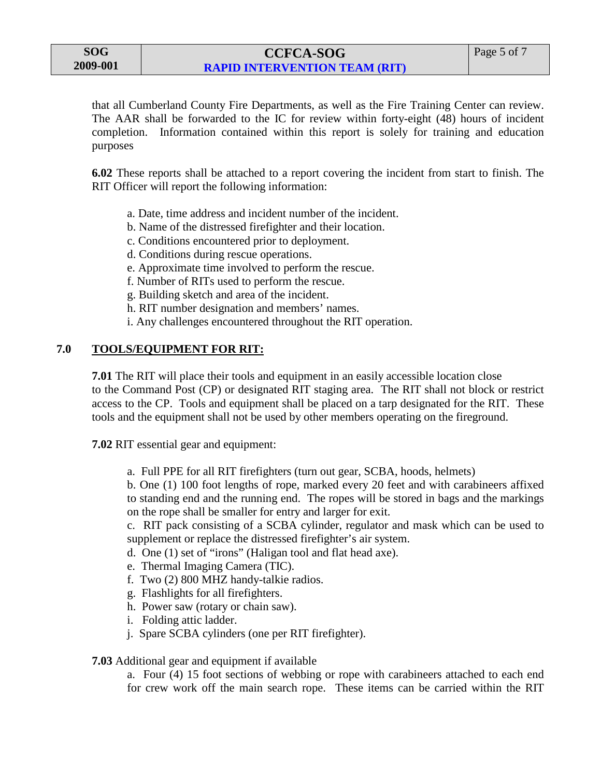# **CCFCA-SOG RAPID INTERVENTION TEAM (RIT)**

that all Cumberland County Fire Departments, as well as the Fire Training Center can review. The AAR shall be forwarded to the IC for review within forty-eight (48) hours of incident completion. Information contained within this report is solely for training and education purposes

**6.02** These reports shall be attached to a report covering the incident from start to finish. The RIT Officer will report the following information:

- a. Date, time address and incident number of the incident.
- b. Name of the distressed firefighter and their location.
- c. Conditions encountered prior to deployment.
- d. Conditions during rescue operations.
- e. Approximate time involved to perform the rescue.
- f. Number of RITs used to perform the rescue.
- g. Building sketch and area of the incident.
- h. RIT number designation and members' names.
- i. Any challenges encountered throughout the RIT operation.

## **7.0 TOOLS/EQUIPMENT FOR RIT:**

**7.01** The RIT will place their tools and equipment in an easily accessible location close to the Command Post (CP) or designated RIT staging area. The RIT shall not block or restrict access to the CP. Tools and equipment shall be placed on a tarp designated for the RIT. These tools and the equipment shall not be used by other members operating on the fireground.

**7.02** RIT essential gear and equipment:

a. Full PPE for all RIT firefighters (turn out gear, SCBA, hoods, helmets)

b. One (1) 100 foot lengths of rope, marked every 20 feet and with carabineers affixed to standing end and the running end. The ropes will be stored in bags and the markings on the rope shall be smaller for entry and larger for exit.

c. RIT pack consisting of a SCBA cylinder, regulator and mask which can be used to supplement or replace the distressed firefighter's air system.

- d. One (1) set of "irons" (Haligan tool and flat head axe).
- e. Thermal Imaging Camera (TIC).
- f. Two (2) 800 MHZ handy-talkie radios.
- g. Flashlights for all firefighters.
- h. Power saw (rotary or chain saw).
- i. Folding attic ladder.
- j. Spare SCBA cylinders (one per RIT firefighter).

#### **7.03** Additional gear and equipment if available

a. Four (4) 15 foot sections of webbing or rope with carabineers attached to each end for crew work off the main search rope. These items can be carried within the RIT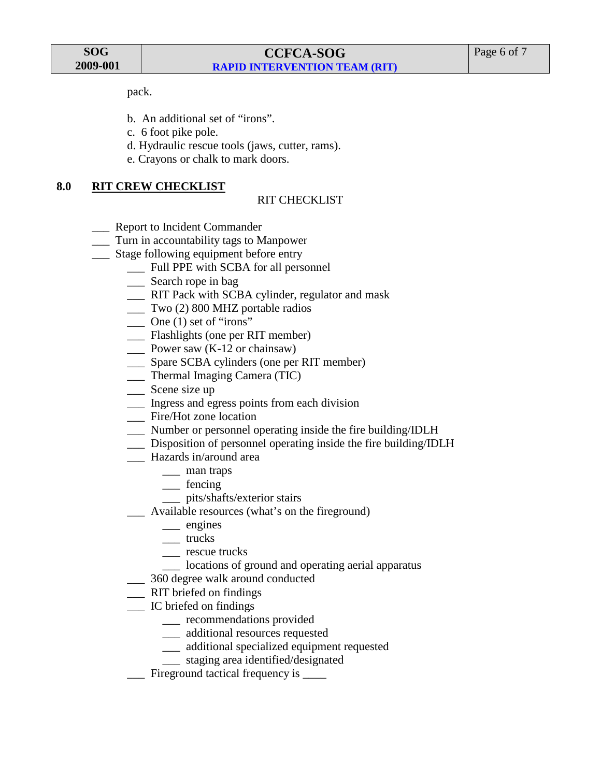**SOG 2009-001**

pack.

- b. An additional set of "irons".
- c. 6 foot pike pole.
- d. Hydraulic rescue tools (jaws, cutter, rams).
- e. Crayons or chalk to mark doors.

#### **8.0 RIT CREW CHECKLIST**

#### RIT CHECKLIST

- \_\_\_ Report to Incident Commander
- \_\_\_ Turn in accountability tags to Manpower
- \_\_\_ Stage following equipment before entry
	- \_\_\_ Full PPE with SCBA for all personnel
	- \_\_\_ Search rope in bag
	- \_\_\_ RIT Pack with SCBA cylinder, regulator and mask
	- \_\_\_ Two (2) 800 MHZ portable radios
	- $\sum$  One (1) set of "irons"
	- \_\_\_ Flashlights (one per RIT member)
	- Power saw (K-12 or chainsaw)
	- \_\_\_ Spare SCBA cylinders (one per RIT member)
	- \_\_\_ Thermal Imaging Camera (TIC)
	- Scene size up
	- \_\_\_ Ingress and egress points from each division
	- Fire/Hot zone location
	- \_\_\_ Number or personnel operating inside the fire building/IDLH
	- \_\_\_ Disposition of personnel operating inside the fire building/IDLH
	- \_\_\_ Hazards in/around area
		- \_\_\_ man traps
		- \_\_\_ fencing
		- \_\_\_ pits/shafts/exterior stairs
	- Available resources (what's on the fireground)
		- \_\_\_ engines
		- \_\_\_ trucks
		- \_\_\_ rescue trucks
		- locations of ground and operating aerial apparatus
	- \_\_\_ 360 degree walk around conducted
	- \_\_\_ RIT briefed on findings
	- \_\_\_ IC briefed on findings
		- \_\_\_ recommendations provided
		- \_\_\_ additional resources requested
		- \_\_\_ additional specialized equipment requested
		- \_\_\_ staging area identified/designated
	- \_\_\_ Fireground tactical frequency is \_\_\_\_